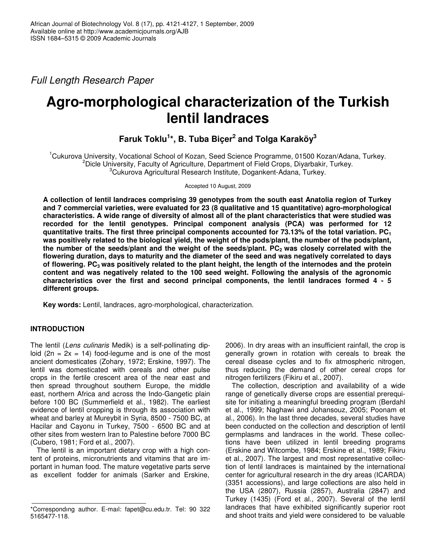*Full Length Research Paper*

# **Agro-morphological characterization of the Turkish lentil landraces**

**Faruk Toklu 1 \*, B. Tuba Biçer 2 and Tolga Karaköy 3**

<sup>1</sup>Cukurova University, Vocational School of Kozan, Seed Science Programme, 01500 Kozan/Adana, Turkey. <sup>2</sup>Dicle University, Faculty of Agriculture, Department of Field Crops, Diyarbakir, Turkey. <sup>3</sup>Cukurova Agricultural Research Institute, Dogankent-Adana, Turkey.

Accepted 10 August, 2009

**A collection of lentil landraces comprising 39 genotypes from the south east Anatolia region of Turkey and 7 commercial varieties, were evaluated for 23 (8 qualitative and 15 quantitative) agro-morphological** characteristics. A wide range of diversity of almost all of the plant characteristics that were studied was **recorded for the lentil genotypes. Principal component analysis (PCA) was performed for 12 quantitative traits. The first three principal components accounted for 73.13% of the total variation. PC<sup>1</sup>** was positively related to the biological yield, the weight of the pods/plant, the number of the pods/plant, the number of the seeds/plant and the weight of the seeds/plant. PC<sub>2</sub> was closely correlated with the **flowering duration, days to maturity and the diameter of the seed and was negatively correlated to days** of flowering.  $PC_3$  was positively related to the plant height, the length of the internodes and the protein **content and was negatively related to the 100 seed weight. Following the analysis of the agronomic characteristics over the first and second principal components, the lentil landraces formed 4 - 5 different groups.**

**Key words:** Lentil, landraces, agro-morphological, characterization.

## **INTRODUCTION**

The lentil (*Lens culinaris* Medik) is a self-pollinating diploid  $(2n = 2x = 14)$  food-legume and is one of the most ancient domesticates (Zohary, 1972; Erskine, 1997). The lentil was domesticated with cereals and other pulse crops in the fertile crescent area of the near east and then spread throughout southern Europe, the middle east, northern Africa and across the Indo-Gangetic plain before 100 BC (Summerfield et al., 1982). The earliest evidence of lentil cropping is through its association with wheat and barley at Mureybit in Syria, 8500 - 7500 BC, at Hacilar and Cayonu in Turkey, 7500 - 6500 BC and at other sites from western Iran to Palestine before 7000 BC (Cubero, 1981; Ford et al., 2007).

The lentil is an important dietary crop with a high content of proteins, micronutrients and vitamins that are important in human food. The mature vegetative parts serve as excellent fodder for animals (Sarker and Erskine,

2006). In dry areas with an insufficient rainfall, the crop is generally grown in rotation with cereals to break the cereal disease cycles and to fix atmospheric nitrogen, thus reducing the demand of other cereal crops for nitrogen fertilizers (Fikiru et al., 2007).

The collection, description and availability of a wide range of genetically diverse crops are essential prerequisite for initiating a meaningful breeding program (Berdahl et al., 1999; Naghawi and Johansouz, 2005; Poonam et al., 2006). In the last three decades, several studies have been conducted on the collection and description of lentil germplasms and landraces in the world. These collections have been utilized in lentil breeding programs (Erskine and Witcombe, 1984; Erskine et al., 1989; Fikiru et al., 2007). The largest and most representative collection of lentil landraces is maintained by the international center for agricultural research in the dry areas (ICARDA) (3351 accessions), and large collections are also held in the USA (2807), Russia (2857), Australia (2847) and Turkey (1435) (Ford et al., 2007). Several of the lentil landraces that have exhibited significantly superior root and shoot traits and yield were considered to be valuable

<sup>\*</sup>Correspondıng author. E-maıl: fapet@cu.edu.tr. Tel: 90 322 5165477-118.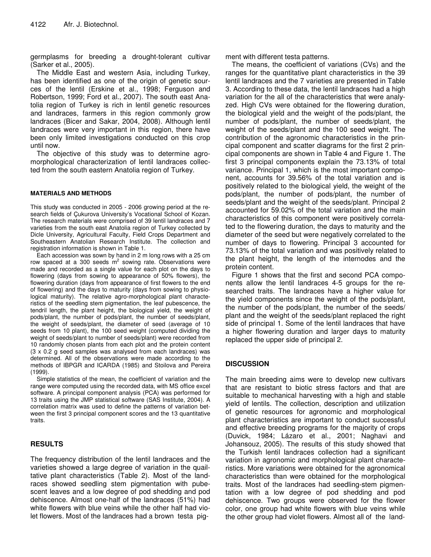germplasms for breeding a drought-tolerant cultivar (Sarker et al., 2005).

The Middle East and western Asia, including Turkey, has been identified as one of the origin of genetic sources of the lentil (Erskine et al., 1998; Ferguson and Robertson, 1999; Ford et al., 2007). The south east Anatolia region of Turkey is rich in lentil genetic resources and landraces, farmers in this region commonly grow landraces (Bicer and Sakar, 2004, 2008). Although lentil landraces were very important in this region, there have been only limited investigations conducted on this crop until now.

The objective of this study was to determine agromorphological characterization of lentil landraces collected from the south eastern Anatolia region of Turkey.

#### **MATERIALS AND METHODS**

This study was conducted in 2005 - 2006 growing period at the research fields of Çukurova University's Vocational School of Kozan. The research materials were comprised of 39 lentil landraces and 7 varieties from the south east Anatolia region of Turkey collected by Dicle University, Agricultural Faculty, Field Crops Department and Southeastern Anatolian Research Institute. The collection and registration information is shown in Table 1.

Each accession was sown by hand in 2 m long rows with a 25 cm row spaced at a 300 seeds  $m^2$  sowing rate. Observations were made and recorded as a single value for each plot on the days to flowering (days from sowing to appearance of 50% flowers), the flowering duration (days from appearance of first flowers to the end of flowering) and the days to maturity (days from sowing to physiological maturity). The relative agro-morphological plant characteristics of the seedling stem pigmentation, the leaf pubescence, the tendril length, the plant height, the biological yield, the weight of pods/plant, the number of pods/plant, the number of seeds/plant, the weight of seeds/plant, the diameter of seed (average of 10 seeds from 10 plant), the 100 seed weight (computed dividing the weight of seeds/plant to number of seeds/plant) were recorded from 10 randomly chosen plants from each plot and the protein content (3 x 0.2 g seed samples was analysed from each landraces) was determined. All of the observations were made according to the methods of IBPGR and ICARDA (1985) and Stoilova and Pereira (1999).

Simple statistics of the mean, the coefficient of variation and the range were computed using the recorded data, with MS office excel software. A principal component analysis (PCA) was performed for 13 traits using the JMP statistical software (SAS Institute, 2004). A correlation matrix was used to define the patterns of variation between the first 3 principal component scores and the 13 quantitative traits.

### **RESULTS**

The frequency distribution of the lentil landraces and the varieties showed a large degree of variation in the quailtative plant characteristics (Table 2). Most of the landraces showed seedling stem pigmentation with pubescent leaves and a low degree of pod shedding and pod dehiscence. Almost one-half of the landraces (51%) had white flowers with blue veins while the other half had violet flowers. Most of the landraces had a brown testa pigment with different testa patterns.

The means, the coefficient of variations (CVs) and the ranges for the quantitative plant characteristics in the 39 lentil landraces and the 7 varieties are presented in Table 3. According to these data, the lentil landraces had a high variation for the all of the characteristics that were analyzed. High CVs were obtained for the flowering duration, the biological yield and the weight of the pods/plant, the number of pods/plant, the number of seeds/plant, the weight of the seeds/plant and the 100 seed weight. The contribution of the agronomic characteristics in the principal component and scatter diagrams for the first 2 principal components are shown in Table 4 and Figure 1. The first 3 principal components explain the 73.13% of total variance. Principal 1, which is the most important component, accounts for 39.56% of the total variation and is positively related to the biological yield, the weight of the pods/plant, the number of pods/plant, the number of seeds/plant and the weight of the seeds/plant. Principal 2 accounted for 59.02% of the total variation and the main characteristics of this component were positively correlated to the flowering duration, the days to maturity and the diameter of the seed but were negatively correlated to the number of days to flowering. Principal 3 accounted for 73.13% of the total variation and was positively related to the plant height, the length of the internodes and the protein content.

Figure 1 shows that the first and second PCA components allow the lentil landraces 4-5 groups for the researched traits. The landraces have a higher value for the yield components since the weight of the pods/plant, the number of the pods/plant, the number of the seeds/ plant and the weight of the seeds/plant replaced the right side of principal 1. Some of the lentil landraces that have a higher flowering duration and larger days to maturity replaced the upper side of principal 2.

### **DISCUSSION**

The main breeding aims were to develop new cultivars that are resistant to biotic stress factors and that are suitable to mechanical harvesting with a high and stable yield of lentils. The collection, description and utilization of genetic resources for agronomic and morphological plant characteristics are important to conduct successful and effective breeding programs for the majority of crops (Duvick, 1984; Lázaro et al., 2001; Naghavi and Johansouz, 2005). The results of this study showed that the Turkish lentil landraces collection had a significant variation in agronomic and morphological plant characteristics. More variations were obtained for the agronomical characteristics than were obtained for the morphological traits. Most of the landraces had seedling-stem pigmentation with a low degree of pod shedding and pod dehiscence. Two groups were observed for the flower color, one group had white flowers with blue veins while the other group had violet flowers. Almost all of the land-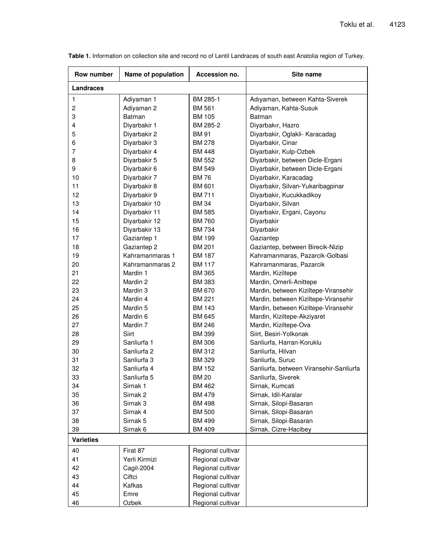| Row number       | Name of population  | Accession no.     | Site name                               |
|------------------|---------------------|-------------------|-----------------------------------------|
| Landraces        |                     |                   |                                         |
| $\mathbf{1}$     | Adiyaman 1          | BM 285-1          | Adıyaman, between Kahta-Siverek         |
| $\overline{c}$   | Adiyaman 2          | <b>BM 561</b>     | Adiyaman, Kahta-Susuk                   |
| 3                | Batman              | <b>BM 105</b>     | Batman                                  |
| 4                | Diyarbakir 1        | BM 285-2          | Diyarbakır, Hazro                       |
| 5                | Diyarbakir 2        | <b>BM 91</b>      | Diyarbakir, Oglakli- Karacadag          |
| 6                | Diyarbakir 3        | <b>BM 278</b>     | Diyarbakir, Cinar                       |
| 7                | Diyarbakir 4        | BM 448            | Diyarbakir, Kulp-Ozbek                  |
| 8                | Diyarbakir 5        | <b>BM 552</b>     | Diyarbakir, between Dicle-Ergani        |
| 9                | Diyarbakir 6        | <b>BM 549</b>     | Diyarbakir, between Dicle-Ergani        |
| 10               | Diyarbakir 7        | <b>BM76</b>       | Diyarbakir, Karacadag                   |
| 11               | Diyarbakir 8        | <b>BM 601</b>     | Diyarbakir, Silvan-Yukaribagpinar       |
| 12               | Diyarbakir 9        | <b>BM711</b>      | Diyarbakir, Kucukkadikoy                |
| 13               | Diyarbakir 10       | <b>BM34</b>       | Diyarbakir, Silvan                      |
| 14               | Diyarbakir 11       | <b>BM 585</b>     | Diyarbakir, Ergani, Cayonu              |
| 15               | Diyarbakir 12       | <b>BM 760</b>     | Diyarbakir                              |
| 16               | Diyarbakir 13       | <b>BM 734</b>     | Diyarbakir                              |
| 17               | Gaziantep 1         | <b>BM 199</b>     | Gaziantep                               |
| 18               | Gaziantep 2         | <b>BM 201</b>     | Gaziantep, between Birecik-Nizip        |
| 19               | Kahramanmaras 1     | <b>BM 187</b>     | Kahramanmaras, Pazarcik-Golbasi         |
| 20               | Kahramanmaras 2     | BM 117            | Kahramanmaras, Pazarcik                 |
| 21               | Mardin 1            | <b>BM 365</b>     | Mardin, Kiziltepe                       |
| 22               | Mardin 2            | <b>BM 383</b>     | Mardin, Omerli-Anittepe                 |
| 23               | Mardin 3            | <b>BM 670</b>     | Mardin, between Kiziltepe-Viransehir    |
| 24               | Mardin 4            | <b>BM 221</b>     | Mardin, between Kiziltepe-Viransehir    |
| 25               | Mardin 5            | BM 143            | Mardin, between Kiziltepe-Viransehir    |
| 26               | Mardin 6            | BM 645            | Mardin, Kiziltepe-Akziyaret             |
| 27               | Mardin 7            | <b>BM 246</b>     | Mardin, Kiziltepe-Ova                   |
| 28               | Siirt               | <b>BM 399</b>     | Siirt, Besiri-Yolkonak                  |
| 29               | Sanliurfa 1         | <b>BM 306</b>     | Sanliurfa, Harran-Koruklu               |
| 30               | Sanliurfa 2         | <b>BM 312</b>     | Sanliurfa, Hilvan                       |
| 31               | Sanliurfa 3         | <b>BM 329</b>     | Sanliurfa, Suruc                        |
| 32               | Sanliurfa 4         | <b>BM 152</b>     | Sanliurfa, between Viransehir-Sanliurfa |
| 33               | Sanliurfa 5         | <b>BM 20</b>      | Sanliurfa, Siverek                      |
| 34               | Sirnak 1            | BM 462            | Sirnak, Kumcati                         |
| 35               | Sirnak <sub>2</sub> | <b>BM 479</b>     | Sirnak, Idil-Karalar                    |
| 36               | Sirnak <sub>3</sub> | <b>BM 498</b>     | Sirnak, Silopi-Basaran                  |
| 37               | Sirnak 4            | <b>BM 500</b>     | Sirnak, Silopi-Basaran                  |
| 38               | Sirnak 5            | <b>BM 499</b>     | Sirnak, Silopi-Basaran                  |
| 39               | Sirnak 6            | <b>BM 409</b>     | Sirnak, Cizre-Hacibey                   |
| <b>Varieties</b> |                     |                   |                                         |
| 40               | Firat 87            | Regional cultivar |                                         |
| 41               | Yerli Kirmizi       | Regional cultivar |                                         |
| 42               | Cagil-2004          | Regional cultivar |                                         |
| 43               | Ciftci              | Regional cultivar |                                         |
| 44               | Kafkas              | Regional cultivar |                                         |
| 45               | Emre                | Regional cultivar |                                         |
| 46               | Ozbek               | Regional cultivar |                                         |

**Table 1.** Information on collection site and record no of Lentil Landraces of south east Anatolia region of Turkey.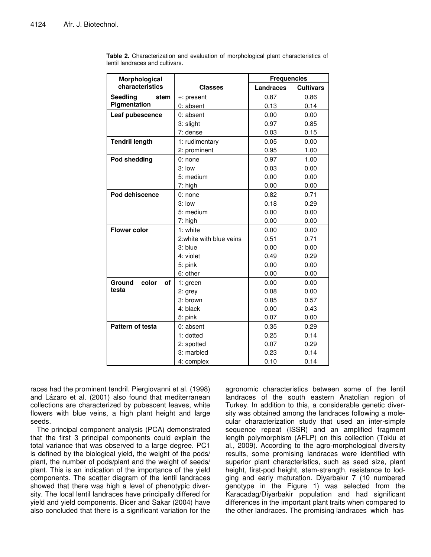| Morphological           |                          | <b>Frequencies</b> |                  |  |
|-------------------------|--------------------------|--------------------|------------------|--|
| characteristics         | <b>Classes</b>           | <b>Landraces</b>   | <b>Cultivars</b> |  |
| <b>Seedling</b><br>stem | +: present               | 0.87               | 0.86             |  |
| Pigmentation            | 0: absent                | 0.13               | 0.14             |  |
| Leaf pubescence         | 0: absent                | 0.00               | 0.00             |  |
|                         | 3: slight                | 0.97               | 0.85             |  |
|                         | 7: dense                 | 0.03               | 0.15             |  |
| <b>Tendril length</b>   | 1: rudimentary           | 0.05               | 0.00             |  |
|                         | 2: prominent             | 0.95               | 1.00             |  |
| Pod shedding            | $0:$ none                | 0.97               | 1.00             |  |
|                         | 3: low                   | 0.03               | 0.00             |  |
|                         | 5: medium                | 0.00               | 0.00             |  |
|                         | 7: high                  | 0.00               | 0.00             |  |
| Pod dehiscence          | $0:$ none                | 0.82               | 0.71             |  |
|                         | $3:$ low                 | 0.18               | 0.29             |  |
|                         | 5: medium                | 0.00               | 0.00             |  |
|                         | 7: high                  | 0.00               | 0.00             |  |
| <b>Flower color</b>     | $1:$ white               | 0.00               | 0.00             |  |
|                         | 2: white with blue veins | 0.51               | 0.71             |  |
|                         | 3: blue                  | 0.00               | 0.00             |  |
|                         | 4: violet                | 0.49               | 0.29             |  |
|                         | 5: pink                  | 0.00               | 0.00             |  |
|                         | 6: other                 | 0.00               | 0.00             |  |
| Ground<br>color<br>of   | $1:$ green               | 0.00               | 0.00             |  |
| testa                   | 2: grey                  | 0.08               | 0.00             |  |
|                         | 3: brown                 | 0.85               | 0.57             |  |
|                         | 4: black                 | 0.00               | 0.43             |  |
|                         | 5: pink                  | 0.07               | 0.00             |  |
| Pattern of testa        | 0: absent                | 0.35               | 0.29             |  |
|                         | 1: dotted                | 0.25               | 0.14             |  |
|                         | 2: spotted               | 0.07               | 0.29             |  |
|                         | 3: marbled               | 0.23               | 0.14             |  |
|                         | 4: complex               | 0.10               | 0.14             |  |

**Table 2.** Characterization and evaluation of morphological plant characteristics of lentil landraces and cultivars.

races had the prominent tendril. Piergiovanni et al. (1998) and Lázaro et al. (2001) also found that mediterranean collections are characterized by pubescent leaves, white flowers with blue veins, a high plant height and large seeds.

The principal component analysis (PCA) demonstrated that the first 3 principal components could explain the total variance that was observed to a large degree. PC1 is defined by the biological yield, the weight of the pods/ plant, the number of pods/plant and the weight of seeds/ plant. This is an indication of the importance of the yield components. The scatter diagram of the lentil landraces showed that there was high a level of phenotypic diversity. The local lentil landraces have principally differed for yield and yield components. Bicer and Sakar (2004) have also concluded that there is a significant variation for the

agronomic characteristics between some of the lentil landraces of the south eastern Anatolian region of Turkey. In addition to this, a considerable genetic diversity was obtained among the landraces following a molecular characterization study that used an inter-simple sequence repeat (ISSR) and an amplified fragment length polymorphism (AFLP) on this collection (Toklu et al., 2009). According to the agro-morphological diversity results, some promising landraces were identified with superior plant characteristics, such as seed size, plant height, first-pod height, stem-strength, resistance to lodging and early maturation. Diyarbakır 7 (10 numbered genotype in the Figure 1) was selected from the Karacadag/Diyarbakir population and had significant differences in the important plant traits when compared to the other landraces. The promising landraces which has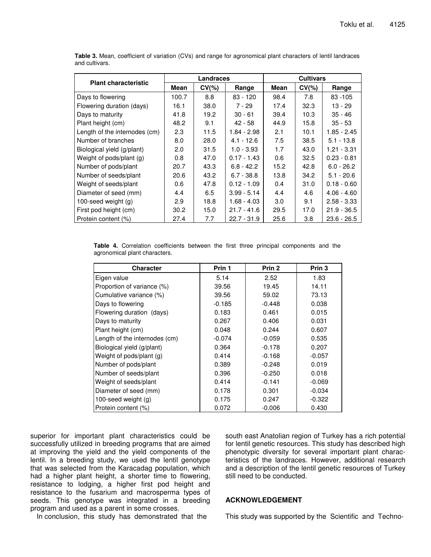| <b>Plant characteristic</b>   | Landraces |          |               | <b>Cultivars</b> |           |               |
|-------------------------------|-----------|----------|---------------|------------------|-----------|---------------|
|                               | Mean      | $CV(\%)$ | Range         | Mean             | $CV(\% )$ | Range         |
| Days to flowering             | 100.7     | 8.8      | $83 - 120$    | 98.4             | 7.8       | $83 - 105$    |
| Flowering duration (days)     | 16.1      | 38.0     | 7 - 29        | 17.4             | 32.3      | 13 - 29       |
| Days to maturity              | 41.8      | 19.2     | $30 - 61$     | 39.4             | 10.3      | $35 - 46$     |
| Plant height (cm)             | 48.2      | 9.1      | $42 - 58$     | 44.9             | 15.8      | $35 - 53$     |
| Length of the internodes (cm) | 2.3       | 11.5     | 1.84 - 2.98   | 2.1              | 10.1      | 1.85 - 2.45   |
| Number of branches            | 8.0       | 28.0     | $4.1 - 12.6$  | 7.5              | 38.5      | $5.1 - 13.8$  |
| Biological yield (g/plant)    | 2.0       | 31.5     | $1.0 - 3.93$  | 1.7              | 43.0      | 1.21 - 3.31   |
| Weight of pods/plant (g)      | 0.8       | 47.0     | $0.17 - 1.43$ | 0.6              | 32.5      | $0.23 - 0.81$ |
| Number of pods/plant          | 20.7      | 43.3     | $6.8 - 42.2$  | 15.2             | 42.8      | $6.0 - 26.2$  |
| Number of seeds/plant         | 20.6      | 43.2     | $6.7 - 38.8$  | 13.8             | 34.2      | $5.1 - 20.6$  |
| Weight of seeds/plant         | 0.6       | 47.8     | $0.12 - 1.09$ | 0.4              | 31.0      | $0.18 - 0.60$ |
| Diameter of seed (mm)         | 4.4       | 6.5      | $3.99 - 5.14$ | 4.4              | 4.6       | $4.06 - 4.60$ |
| 100-seed weight $(q)$         | 2.9       | 18.8     | $1.68 - 4.03$ | 3.0              | 9.1       | $2.58 - 3.33$ |
| First pod height (cm)         | 30.2      | 15.0     | $21.7 - 41.6$ | 29.5             | 17.0      | $21.9 - 36.5$ |
| Protein content (%)           | 27.4      | 7.7      | $22.7 - 31.9$ | 25.6             | 3.8       | $23.6 - 26.5$ |

**Table 3.** Mean, coefficient of variation (CVs) and range for agronomical plant characters of lentil landraces and cultivars.

**Table 4.** Correlation coefficients between the first three principal components and the agronomical plant characters.

| <b>Character</b>              | Prin 1   | Prin 2   | Prin 3   |
|-------------------------------|----------|----------|----------|
| Eigen value                   | 5.14     | 2.52     | 1.83     |
| Proportion of variance (%)    | 39.56    | 19.45    | 14.11    |
| Cumulative variance (%)       | 39.56    | 59.02    | 73.13    |
| Days to flowering             | $-0.185$ | $-0.448$ | 0.038    |
| Flowering duration (days)     | 0.183    | 0.461    | 0.015    |
| Days to maturity              | 0.267    | 0.406    | 0.031    |
| Plant height (cm)             | 0.048    | 0.244    | 0.607    |
| Length of the internodes (cm) | $-0.074$ | $-0.059$ | 0.535    |
| Biological yield (g/plant)    | 0.364    | -0.178   | 0.207    |
| Weight of pods/plant (g)      | 0.414    | -0.168   | $-0.057$ |
| Number of pods/plant          | 0.389    | $-0.248$ | 0.019    |
| Number of seeds/plant         | 0.396    | $-0.250$ | 0.018    |
| Weight of seeds/plant         | 0.414    | $-0.141$ | $-0.069$ |
| Diameter of seed (mm)         | 0.178    | 0.301    | $-0.034$ |
| 100-seed weight $(g)$         | 0.175    | 0.247    | $-0.322$ |
| Protein content (%)           | 0.072    | $-0.006$ | 0.430    |

superior for important plant characteristics could be successfully utilized in breeding programs that are aimed at improving the yield and the yield components of the lentil. In a breeding study, we used the lentil genotype that was selected from the Karacadag population, which had a higher plant height, a shorter time to flowering, resistance to lodging, a higher first pod height and resistance to the fusarium and macrosperma types of seeds. This genotype was integrated in a breeding program and used as a parent in some crosses.

south east Anatolian region of Turkey has a rich potential for lentil genetic resources. This study has described high phenotypic diversity for several important plant characteristics of the landraces. However, additional research and a description of the lentil genetic resources of Turkey still need to be conducted.

### **ACKNOWLEDGEMENT**

In conclusion, this study has demonstrated that the

This study was supported by the Scientific and Techno-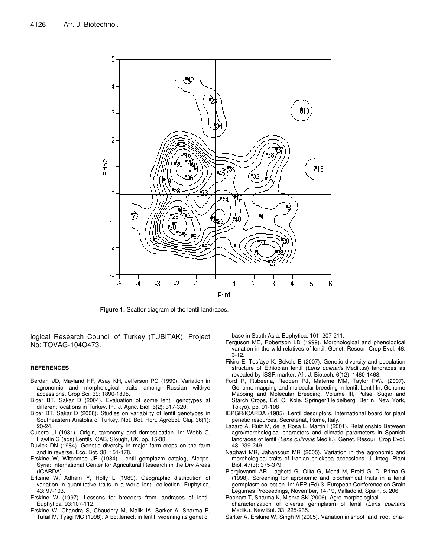

**Figure 1.** Scatter diagram of the lentil landraces.

logical Research Council of Turkey (TUBITAK), Project No: TOVAG-104O473.

#### **REFERENCES**

- Berdahl JD, Mayland HF, Asay KH, Jefferson PG (1999). Variation in agronomic and morphological traits among Russian wildrye accessions. Crop Sci. 39: 1890-1895.
- Bicer BT, Sakar D (2004). Evaluation of some lentil genotypes at different locations in Turkey. Int. J. Agric. Biol. 6(2): 317-320.
- Bicer BT, Sakar D (2008). Studies on variability of lentil genotypes in Southeastern Anatolia of Turkey. Not. Bot. Hort. Agrobot. Cluj. 36(1): 20-24.
- Cubero JI (1981). Origin, taxonomy and domestication. In: Webb C, Hawtin G (eds) Lentils. CAB, Slough, UK, pp. 15-38.
- Duvick DN (1984). Genetic diversity in major farm crops on the farm and in reverse. Eco. Bot. 38: 151-178.
- Erskine W, Witcombe JR (1984). Lentil gemplazm catalog, Aleppo, Syria: International Center for Agricultural Research in the Dry Areas (ICARDA).
- Erksine W, Adham Y, Holly L (1989). Geographic distribution of variation in quantitative traits in a world lentil collection. Euphytica, 43: 97-103.
- Erskine W (1997). Lessons for breeders from landraces of lentil. Euphytica, 93:107-112.
- Erskine W, Chandra S, Chaudhry M, Malik IA, Sarker A, Sharma B, Tufail M, Tyagi MC (1998). A bottleneck in lentil: widening its genetic

base in South Asia. Euphytica, 101: 207-211.

- Ferguson ME, Robertson LD (1999). Morphological and phenological variation in the wild relatives of lentil. Genet. Resour. Crop Evol. 46: 3-12.
- Fikiru E, Tesfaye K, Bekele E (2007). Genetic diversity and population structure of Ethiopian lentil (*Lens culinaris* Medikus) landraces as revealed by ISSR marker. Afr. J. Biotech. 6(12): 1460-1468.
- Ford R, Rubeena, Redden RJ, Materne MM, Taylor PWJ (2007). Genome mapping and molecular breeding in lentil: Lentil In: Genome Mapping and Molecular Breeding. Volume III, Pulse, Sugar and Starch Crops, Ed. C. Kole. Springer(Heidelberg, Berlin, New York, Tokyo). pp. 91-108
- IBPGR/ICARDA (1985). Lentil descriptors, International board for plant genetic resources, Secreteriat, Rome, Italy.
- Lázaro A, Ruiz M, de la Rosa L, Martin I (2001). Relationship Between agro/morphological characters and climatic parameters in Spanish landraces of lentil (*Lens culinaris* Medik.). Genet. Resour. Crop Evol. 48: 239-249.
- Naghavi MR, Jahansouz MR (2005). Variation in the agronomic and morphological traits of Iranian chickpea accessions. J. Integ. Plant Biol. 47(3): 375-379.
- Piergiovanni AR, Laghetti G, Olita G, Monti M, Preiti G, Di Prima G (1998). Screening for agronomic and biochemical traits in a lentil germplasm collection. In: AEP (Ed) 3. European Conference on Grain Legumes Proceedings, November, 14-19, Valladolid, Spain, p. 206.
- Poonam T, Sharma K, Mishra SK (2006). Agro-morphological
- characterization of diverse germplasm of lentil (*Lens culinaris* Medik.). New Bot. 33: 225-235.
- Sarker A, Erskine W, Singh M (2005). Variation in shoot and root cha-